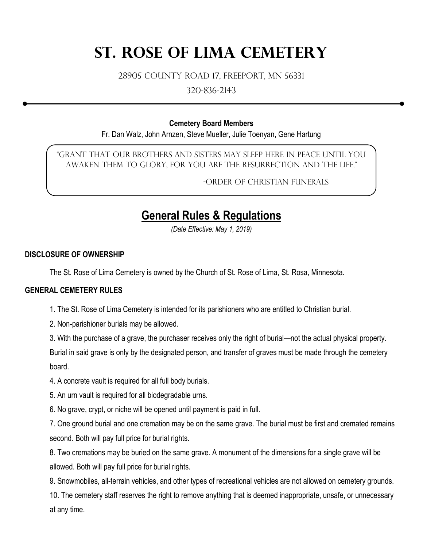# **St. Rose of Lima Cemetery**

28905 County Road 17, Freeport, MN 56331

320-836-2143

### **Cemetery Board Members**

Fr. Dan Walz, John Arnzen, Steve Mueller, Julie Toenyan, Gene Hartung

"Grant that our brothers and sisters may sleep here in peace until you awaken them to glory, for you are the resurrection and the life."

-Order of Christian Funerals

# **General Rules & Regulations**

*(Date Effective: May 1, 2019)*

### **DISCLOSURE OF OWNERSHIP**

The St. Rose of Lima Cemetery is owned by the Church of St. Rose of Lima, St. Rosa, Minnesota.

# **GENERAL CEMETERY RULES**

1. The St. Rose of Lima Cemetery is intended for its parishioners who are entitled to Christian burial.

2. Non-parishioner burials may be allowed.

3. With the purchase of a grave, the purchaser receives only the right of burial—not the actual physical property.

Burial in said grave is only by the designated person, and transfer of graves must be made through the cemetery board.

4. A concrete vault is required for all full body burials.

5. An urn vault is required for all biodegradable urns.

6. No grave, crypt, or niche will be opened until payment is paid in full.

7. One ground burial and one cremation may be on the same grave. The burial must be first and cremated remains second. Both will pay full price for burial rights.

8. Two cremations may be buried on the same grave. A monument of the dimensions for a single grave will be allowed. Both will pay full price for burial rights.

9. Snowmobiles, all-terrain vehicles, and other types of recreational vehicles are not allowed on cemetery grounds. 10. The cemetery staff reserves the right to remove anything that is deemed inappropriate, unsafe, or unnecessary at any time.